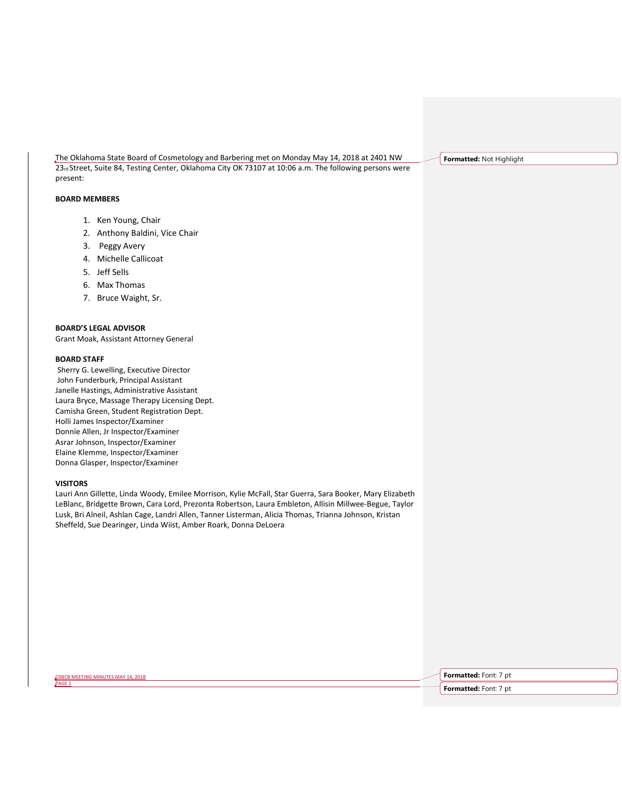The Oklahoma State Board of Cosmetology and Barbering met on Monday May 14, 2018 at 2401 NW 23rd Street, Suite 84, Testing Center, Oklahoma City OK 73107 at 10:06 a.m. The following persons were present:

# **BOARD MEMBERS**

- 1. Ken Young, Chair
- 2. Anthony Baldini, Vice Chair
- 3. Peggy Avery
- 4. Michelle Callicoat
- 5. Jeff Sells
- 6. Max Thomas
- 7. Bruce Waight, Sr.

## **BOARD'S LEGAL ADVISOR**

Grant Moak, Assistant Attorney General

### **BOARD STAFF**

Sherry G. Lewelling, Executive Director John Funderburk, Principal Assistant Janelle Hastings, Administrative Assistant Laura Bryce, Massage Therapy Licensing Dept. Camisha Green, Student Registration Dept. Holli James Inspector/Examiner Donnie Allen, Jr Inspector/Examiner Asrar Johnson, Inspector/Examiner Elaine Klemme, Inspector/Examiner Donna Glasper, Inspector/Examiner

### **VISITORS**

Lauri Ann Gillette, Linda Woody, Emilee Morrison, Kylie McFall, Star Guerra, Sara Booker, Mary Elizabeth LeBlanc, Bridgette Brown, Cara Lord, Prezonta Robertson, Laura Embleton, Allisin Millwee-Begue, Taylor Lusk, Bri Alneil, Ashlan Cage, Landri Allen, Tanner Listerman, Alicia Thomas, Trianna Johnson, Kristan Sheffeld, Sue Dearinger, Linda Wiist, Amber Roark, Donna DeLoera

**Formatted:** Not Highlight

OSBCB MEETING MINUTES MAY 14, 2018

PAGE<sub>1</sub>

**Formatted:** Font: 7 pt

**Formatted:** Font: 7 pt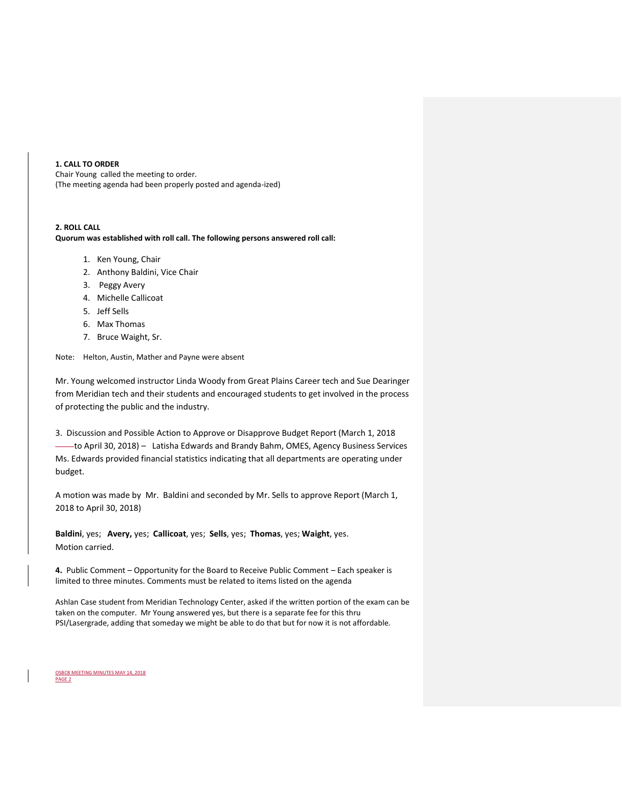## **1. CALL TO ORDER**

Chair Young called the meeting to order. (The meeting agenda had been properly posted and agenda-ized)

# **2. ROLL CALL**

**Quorum was established with roll call. The following persons answered roll call:** 

- 1. Ken Young, Chair
- 2. Anthony Baldini, Vice Chair
- 3. Peggy Avery
- 4. Michelle Callicoat
- 5. Jeff Sells
- 6. Max Thomas
- 7. Bruce Waight, Sr.

Note: Helton, Austin, Mather and Payne were absent

Mr. Young welcomed instructor Linda Woody from Great Plains Career tech and Sue Dearinger from Meridian tech and their students and encouraged students to get involved in the process of protecting the public and the industry.

3. Discussion and Possible Action to Approve or Disapprove Budget Report (March 1, 2018 to April 30, 2018) – Latisha Edwards and Brandy Bahm, OMES, Agency Business Services Ms. Edwards provided financial statistics indicating that all departments are operating under budget.

A motion was made by Mr. Baldini and seconded by Mr. Sells to approve Report (March 1, 2018 to April 30, 2018)

**Baldini**, yes; **Avery,** yes; **Callicoat**, yes; **Sells**, yes; **Thomas**, yes; **Waight**, yes. Motion carried.

**4.** Public Comment – Opportunity for the Board to Receive Public Comment – Each speaker is limited to three minutes. Comments must be related to items listed on the agenda

Ashlan Case student from Meridian Technology Center, asked if the written portion of the exam can be taken on the computer. Mr Young answered yes, but there is a separate fee for this thru PSI/Lasergrade, adding that someday we might be able to do that but for now it is not affordable.

OSBCB MEETING MINUTES MAY 14, 2018 PAGE 2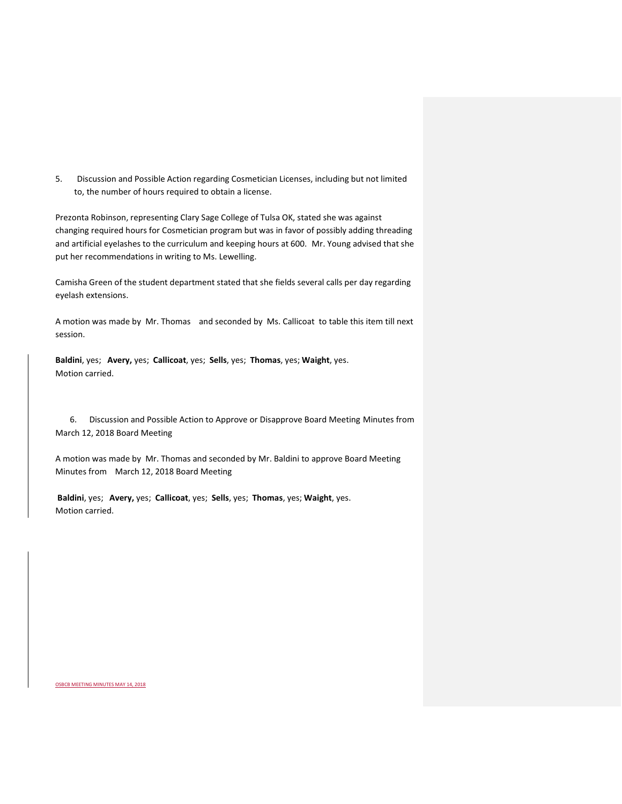5. Discussion and Possible Action regarding Cosmetician Licenses, including but not limited to, the number of hours required to obtain a license.

Prezonta Robinson, representing Clary Sage College of Tulsa OK, stated she was against changing required hours for Cosmetician program but was in favor of possibly adding threading and artificial eyelashes to the curriculum and keeping hours at 600. Mr. Young advised that she put her recommendations in writing to Ms. Lewelling.

Camisha Green of the student department stated that she fields several calls per day regarding eyelash extensions.

A motion was made by Mr. Thomas and seconded by Ms. Callicoat to table this item till next session.

**Baldini**, yes; **Avery,** yes; **Callicoat**, yes; **Sells**, yes; **Thomas**, yes; **Waight**, yes. Motion carried.

 6. Discussion and Possible Action to Approve or Disapprove Board Meeting Minutes from March 12, 2018 Board Meeting

A motion was made by Mr. Thomas and seconded by Mr. Baldini to approve Board Meeting Minutes from March 12, 2018 Board Meeting

**Baldini**, yes; **Avery,** yes; **Callicoat**, yes; **Sells**, yes; **Thomas**, yes; **Waight**, yes. Motion carried.

OSBCB MEETING MINUTES MAY 14, 2018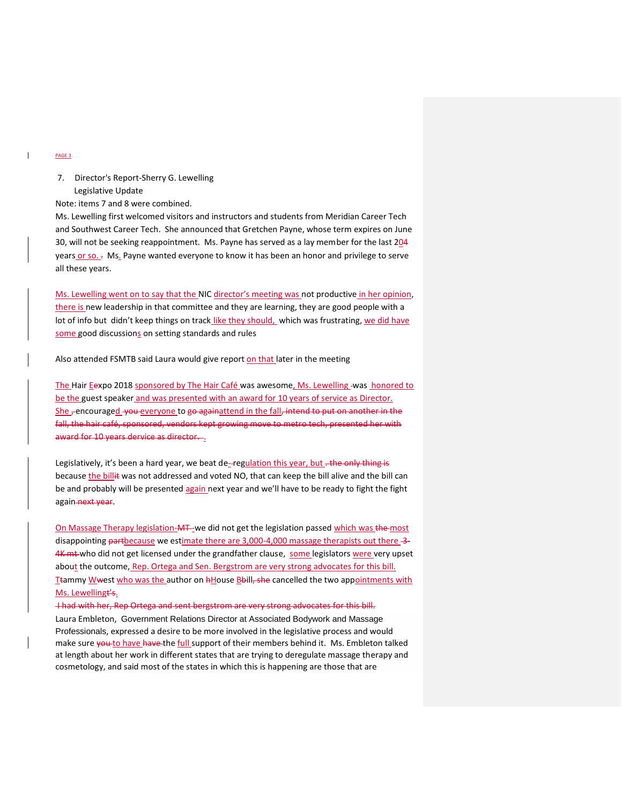### PAGE 3

# 7. Director's Report-Sherry G. Lewelling Legislative Update

Note: items 7 and 8 were combined.

Ms. Lewelling first welcomed visitors and instructors and students from Meridian Career Tech and Southwest Career Tech. She announced that Gretchen Payne, whose term expires on June 30, will not be seeking reappointment. Ms. Payne has served as a lay member for the last 204 years or so. - Ms. Payne wanted everyone to know it has been an honor and privilege to serve all these years.

Ms. Lewelling went on to say that the NIC director's meeting was not productive in her opinion, there is new leadership in that committee and they are learning, they are good people with a lot of info but didn't keep things on track like they should, which was frustrating, we did have some good discussions on setting standards and rules

Also attended FSMTB said Laura would give report on that later in the meeting

The Hair Eexpo 2018 sponsored by The Hair Café was awesome, Ms. Lewelling -was honored to be the guest speaker and was presented with an award for 10 years of service as Director. She, encouraged you everyone to go againattend in the fall, intend to put on another in the fall, the hair café, sponsored, vendors kept growing move to metro tech, presented her with award for 10 years dervice as director...

Legislatively, it's been a hard year, we beat de-regulation this year, but - the only thing is because the billit was not addressed and voted NO, that can keep the bill alive and the bill can be and probably will be presented again next year and we'll have to be ready to fight the fight again-next year.

On Massage Therapy legislation-MT-we did not get the legislation passed which was the most disappointing partbecause we estimate there are 3,000-4,000 massage therapists out there -3-4K mt who did not get licensed under the grandfather clause, some legislators were very upset about the outcome, Rep. Ortega and Sen. Bergstrom are very strong advocates for this bill. Ttammy Wwest who was the author on hHouse Bbill, she cancelled the two appointments with Ms. Lewellingt's.

I had with her, Rep Ortega and sent bergstrom are very strong advocates for this bill.

Laura Embleton, Government Relations Director at Associated Bodywork and Massage Professionals, expressed a desire to be more involved in the legislative process and would make sure you to have have the full support of their members behind it. Ms. Embleton talked at length about her work in different states that are trying to deregulate massage therapy and cosmetology, and said most of the states in which this is happening are those that are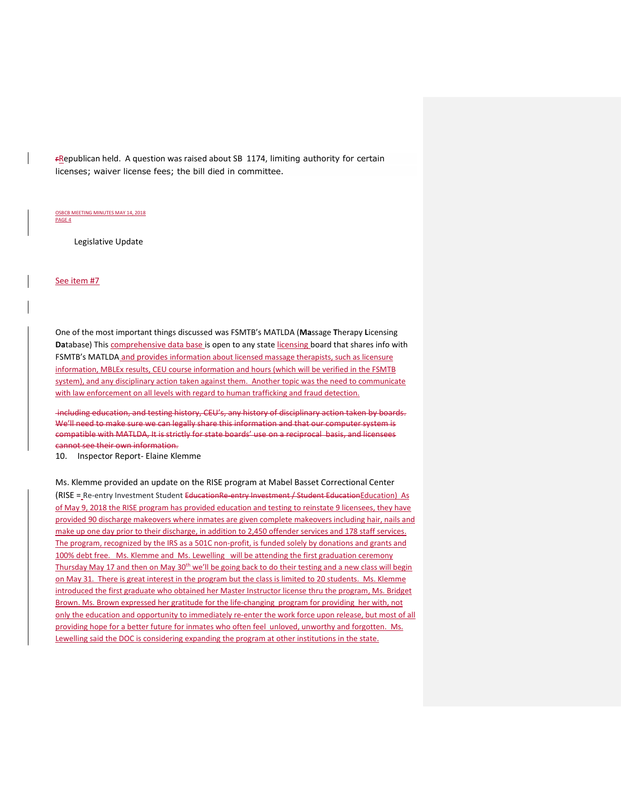rRepublican held. A question was raised about SB 1174, limiting authority for certain licenses; waiver license fees; the bill died in committee.

#### OSBCB MEETING MINUTES MAY 14, 2018 PAGE 4

Legislative Update

See item #7

One of the most important things discussed was FSMTB's MATLDA (**Ma**ssage **T**herapy **L**icensing Database) This comprehensive data base is open to any state licensing board that shares info with FSMTB's MATLDA and provides information about licensed massage therapists, such as licensure information, MBLEx results, CEU course information and hours (which will be verified in the FSMTB system), and any disciplinary action taken against them. Another topic was the need to communicate with law enforcement on all levels with regard to human trafficking and fraud detection.

including education, and testing history, CEU's, any history of disciplinary action taken by boards. We'll need to make sure we can legally share this information and that our computer system is compatible with MATLDA, It is strictly for state boards' use on a reciprocal basis, and licensees cannot see their own information.

10. Inspector Report- Elaine Klemme

Ms. Klemme provided an update on the RISE program at Mabel Basset Correctional Center (RISE = Re-entry Investment Student EducationRe-entry Investment / Student EducationEducation) As of May 9, 2018 the RISE program has provided education and testing to reinstate 9 licensees, they have provided 90 discharge makeovers where inmates are given complete makeovers including hair, nails and make up one day prior to their discharge, in addition to 2,450 offender services and 178 staff services. The program, recognized by the IRS as a 501C non-profit, is funded solely by donations and grants and 100% debt free. Ms. Klemme and Ms. Lewelling will be attending the first graduation ceremony Thursday May 17 and then on May 30<sup>th</sup> we'll be going back to do their testing and a new class will begin on May 31. There is great interest in the program but the class is limited to 20 students. Ms. Klemme introduced the first graduate who obtained her Master Instructor license thru the program, Ms. Bridget Brown. Ms. Brown expressed her gratitude for the life-changing program for providing her with, not only the education and opportunity to immediately re-enter the work force upon release, but most of all providing hope for a better future for inmates who often feel unloved, unworthy and forgotten. Ms. Lewelling said the DOC is considering expanding the program at other institutions in the state.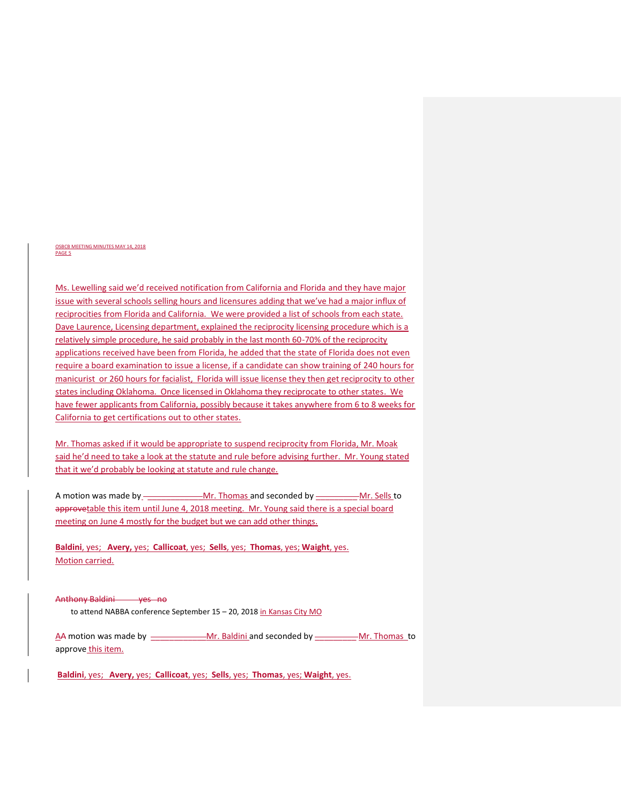#### OSBCB MEETING MINUTES MAY 14, 2018 PAGE 5

Ms. Lewelling said we'd received notification from California and Florida and they have major issue with several schools selling hours and licensures adding that we've had a major influx of reciprocities from Florida and California. We were provided a list of schools from each state. Dave Laurence, Licensing department, explained the reciprocity licensing procedure which is a relatively simple procedure, he said probably in the last month 60-70% of the reciprocity applications received have been from Florida, he added that the state of Florida does not even require a board examination to issue a license, if a candidate can show training of 240 hours for manicurist or 260 hours for facialist, Florida will issue license they then get reciprocity to other states including Oklahoma. Once licensed in Oklahoma they reciprocate to other states. We have fewer applicants from California, possibly because it takes anywhere from 6 to 8 weeks for California to get certifications out to other states.

Mr. Thomas asked if it would be appropriate to suspend reciprocity from Florida, Mr. Moak said he'd need to take a look at the statute and rule before advising further. Mr. Young stated that it we'd probably be looking at statute and rule change.

A motion was made by \_\_\_\_\_\_\_\_\_\_\_\_\_\_Mr. Thomas and seconded by \_\_\_\_\_\_\_\_\_\_\_Mr. Sells to approvetable this item until June 4, 2018 meeting. Mr. Young said there is a special board meeting on June 4 mostly for the budget but we can add other things.

**Baldini**, yes; **Avery,** yes; **Callicoat**, yes; **Sells**, yes; **Thomas**, yes; **Waight**, yes. Motion carried.

Anthony Baldini yes no

to attend NABBA conference September 15 – 20, 2018 in Kansas City MO

AA motion was made by \_\_\_\_\_\_\_\_\_\_\_\_\_\_\_\_\_Mr. Baldini and seconded by \_\_\_\_\_\_\_\_\_\_\_\_\_Mr. Thomas to approve this item.

**Baldini**, yes; **Avery,** yes; **Callicoat**, yes; **Sells**, yes; **Thomas**, yes; **Waight**, yes.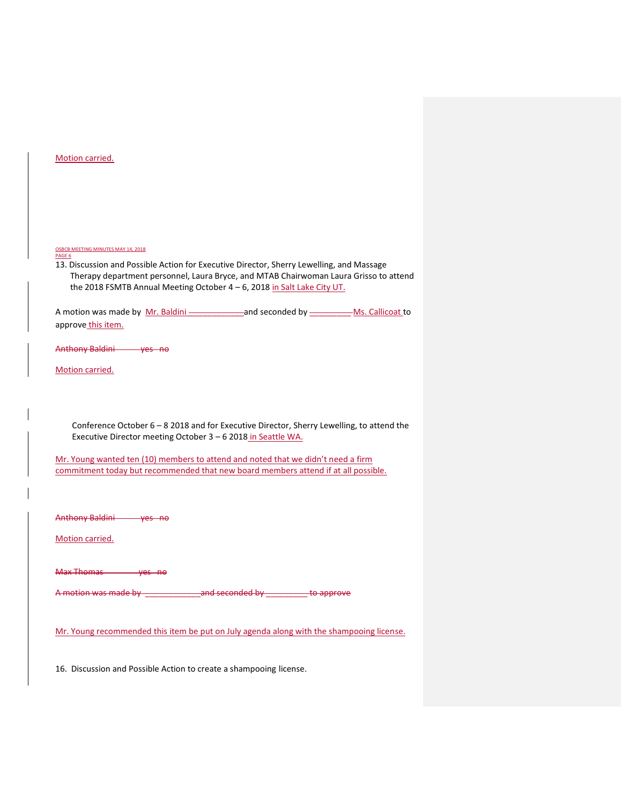| Motion carried. |
|-----------------|
|-----------------|

OSBCB MEETING MINUTES MAY 14, 2018 PAGE 6

13. Discussion and Possible Action for Executive Director, Sherry Lewelling, and Massage Therapy department personnel, Laura Bryce, and MTAB Chairwoman Laura Grisso to attend the 2018 FSMTB Annual Meeting October  $4 - 6$ , 2018 in Salt Lake City UT.

A motion was made by Mr. Baldini \_\_\_\_\_\_\_\_\_\_\_\_\_\_\_\_\_\_\_and seconded by \_\_\_\_\_\_\_\_\_\_\_\_\_Ms. Callicoat to approve\_this item.

Anthony Baldini yes no

Motion carried.

 Conference October 6 – 8 2018 and for Executive Director, Sherry Lewelling, to attend the Executive Director meeting October 3 – 6 2018 in Seattle WA.

Mr. Young wanted ten (10) members to attend and noted that we didn't need a firm commitment today but recommended that new board members attend if at all possible.

Anthony Baldini yes no

Motion carried.

Max Thomas yes no

A motion was made by \_\_\_\_\_\_\_\_\_\_\_\_and seconded by \_\_\_\_\_\_\_\_\_ to approve

Mr. Young recommended this item be put on July agenda along with the shampooing license.

16. Discussion and Possible Action to create a shampooing license.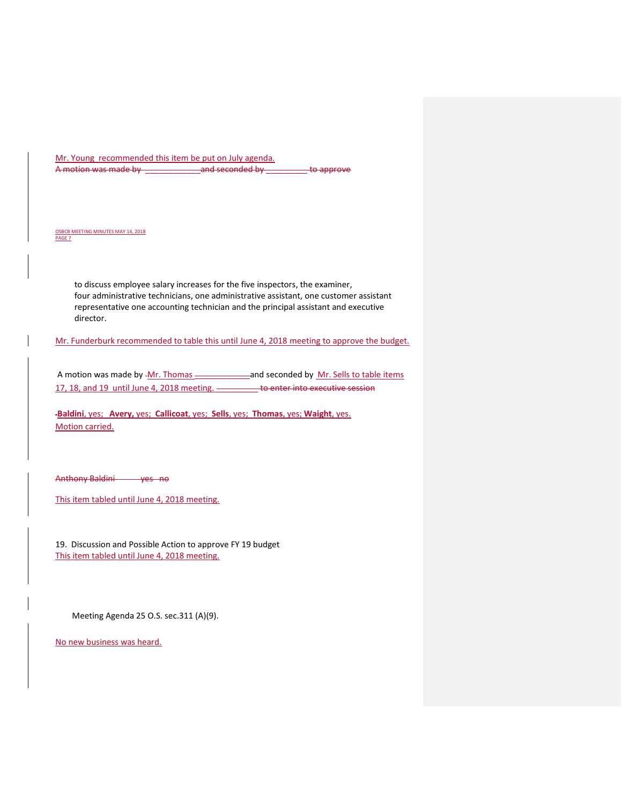Mr. Young recommended this item be put on July agenda. A motion was made by \_\_\_\_\_\_\_\_\_\_\_\_and seconded by \_\_\_\_\_\_\_\_\_ to approve

OSBCB MEETING MINUTES MAY 14, 2018 PAGE 7

> to discuss employee salary increases for the five inspectors, the examiner, four administrative technicians, one administrative assistant, one customer assistant representative one accounting technician and the principal assistant and executive director.

Mr. Funderburk recommended to table this until June 4, 2018 meeting to approve the budget.

A motion was made by -Mr. Thomas - and seconded by Mr. Sells to table items 17, 18, and 19 until June 4, 2018 meeting. **We are also that the executive session** 

**Baldini**, yes; **Avery,** yes; **Callicoat**, yes; **Sells**, yes; **Thomas**, yes; **Waight**, yes. Motion carried.

Anthony Baldini yes no

This item tabled until June 4, 2018 meeting.

19. Discussion and Possible Action to approve FY 19 budget This item tabled until June 4, 2018 meeting.

Meeting Agenda 25 O.S. sec.311 (A)(9).

No new business was heard.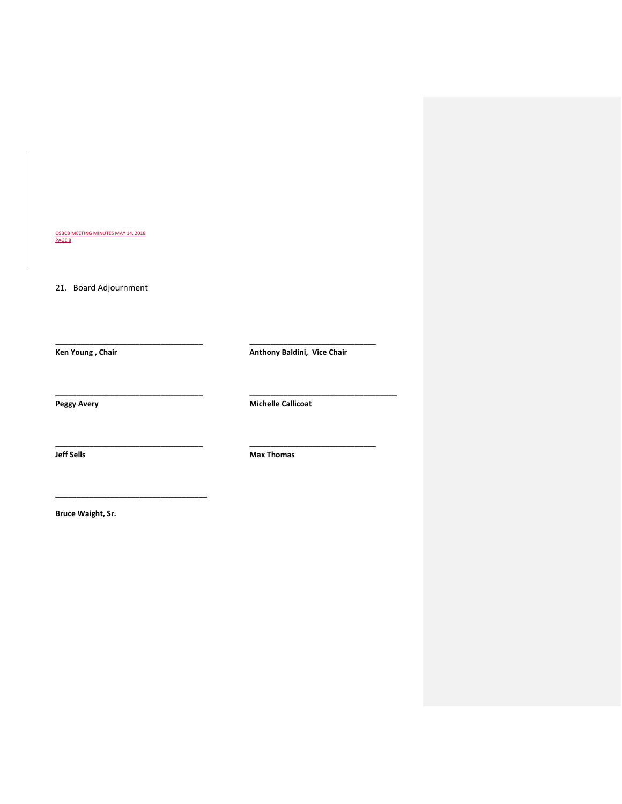<u>OSBCB MEETING MINUTES MAY 14, 2018</u><br>PAGE 8

21. Board Adjournment

Ken Young , Chair **Anthony Baldini, Vice Chair** Anthony Baldini, Vice Chair

Peggy Avery **Michelle Callicoat** 

**\_\_\_\_\_\_\_\_\_\_\_\_\_\_\_\_\_\_\_\_\_\_\_\_\_\_\_\_\_\_\_\_\_\_\_ \_\_\_\_\_\_\_\_\_\_\_\_\_\_\_\_\_\_\_\_\_\_\_\_\_\_\_\_\_\_** 

**\_\_\_\_\_\_\_\_\_\_\_\_\_\_\_\_\_\_\_\_\_\_\_\_\_\_\_\_\_\_\_\_\_\_\_ \_\_\_\_\_\_\_\_\_\_\_\_\_\_\_\_\_\_\_\_\_\_\_\_\_\_\_\_\_\_** 

**\_\_\_\_\_\_\_\_\_\_\_\_\_\_\_\_\_\_\_\_\_\_\_\_\_\_\_\_\_\_\_\_\_\_\_ \_\_\_\_\_\_\_\_\_\_\_\_\_\_\_\_\_\_\_\_\_\_\_\_\_\_\_\_\_\_\_\_\_\_\_** 

**Jeff Sells Max Thomas Max Thomas** 

**Bruce Waight, Sr.**

**\_\_\_\_\_\_\_\_\_\_\_\_\_\_\_\_\_\_\_\_\_\_\_\_\_\_\_\_\_\_\_\_\_\_\_\_**